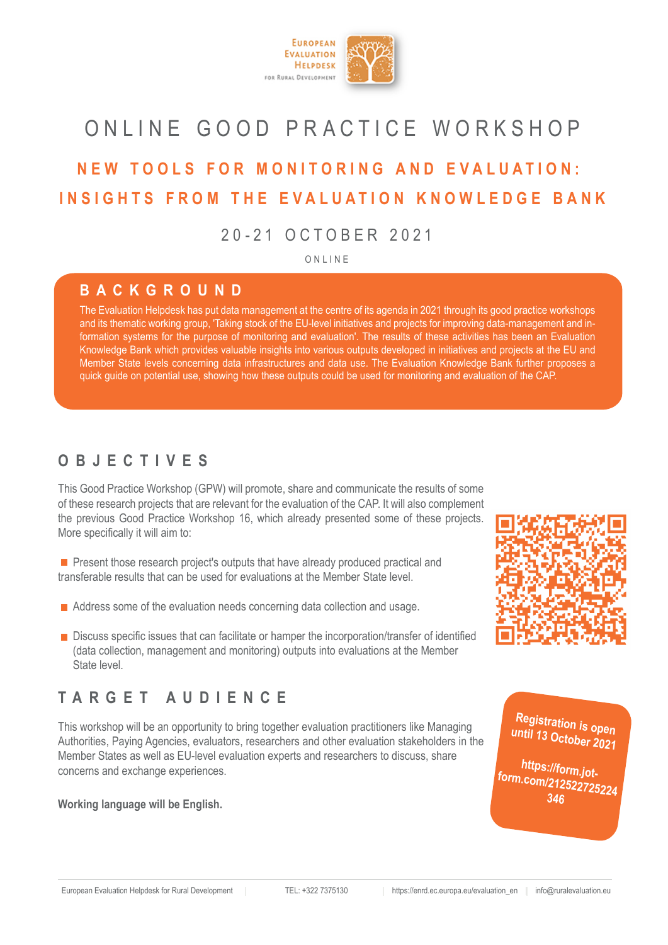

## ONLINE GOOD PRACTICE WORKSHOP

## **NEW TOOLS FOR MONITORING AND EVALUATION: INSIGHTS FROM THE EVALUATION KNOWLEDGE BANK**

20-21 OCTOBER 2021

ONLINE

#### **BACKGROUND**

The Evaluation Helpdesk has put data management at the centre of its agenda in 2021 through its good practice workshops and its thematic working group, 'Taking stock of the EU-level initiatives and projects for improving data-management and information systems for the purpose of monitoring and evaluation'. The results of these activities has been an Evaluation Knowledge Bank which provides valuable insights into various outputs developed in initiatives and projects at the EU and Member State levels concerning data infrastructures and data use. The Evaluation Knowledge Bank further proposes a quick guide on potential use, showing how these outputs could be used for monitoring and evaluation of the CAP.

**Present those research project's outputs that have already produced practical and** transferable results that can be used for evaluations at the Member State level.

■ Address some of the evaluation needs concerning data collection and usage.

#### **Working language will be English.**

■ Discuss specific issues that can facilitate or hamper the incorporation/transfer of identified (data collection, management and monitoring) outputs into evaluations at the Member State level.





European Evaluation Helpdesk for Rural Development | TEL: +322 7375130 | https://enrd.ec.europa.eu/evaluation\_en | info@ruralevaluation.eu

### **OBJECTIVES**

This Good Practice Workshop (GPW) will promote, share and communicate the results of some of these research projects that are relevant for the evaluation of the CAP. It will also complement the previous Good Practice Workshop 16, which already presented some of these projects. More specifically it will aim to:

## **TARGET AUDIENCE**

This workshop will be an opportunity to bring together evaluation practitioners like Managing Authorities, Paying Agencies, evaluators, researchers and other evaluation stakeholders in the Member States as well as EU-level evaluation experts and researchers to discuss, share



concerns and exchange experiences.